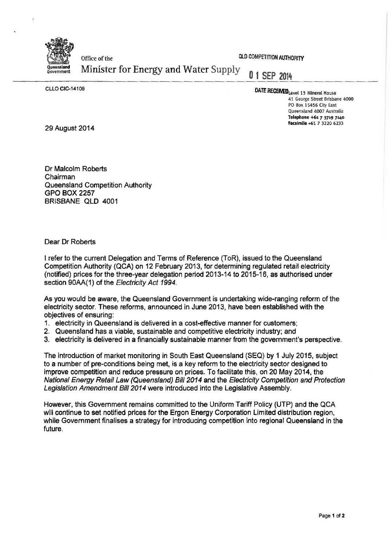

office of the Office of the QLO COMPETITION AUTHORITY<br>
Government Minister for Energy and Water Supply 0 1 **SEP 2014** 

CLLO CIC-14109

## DATE RECENEDLevel 13 Mineral House

41 George Street Brisbane 4000 PO Box 15456 City East Queensland 4002 Australia Telephone +61 *7* 3719 7140 Facsimile +61 7 3220 6233

29 August 2014

Dr Malcolm Roberts Chairman Queensland Competition Authority GPO BOX 2257 BRISBANE QLD 4001

Dear Dr Roberts

I refer to the current Delegation and Terms of Reference (ToR), issued to the Queensland Competition Authority (QCA) on 12 February 2013, for determining regulated retail electricity (notified) prices for the three year delegation period 2013-14 to 2015-16, as authorised under section 90AA(1) of the Electricity Act 1994.

As you would be aware, the Queensland Government is undertaking wide-ranging reform of the electricity sector. These reforms, announced in June 2013, have been established with the objectives of ensuring:

- 1. electricity in Queensland is delivered in a cost-effective manner for customers;
- 2. Queensland has a viable, sustainable and competitive electricity industry; and
- 3. electricity is delivered in a financially sustainable manner from the government's perspective.

The introduction of market monitoring in South East Queensland (SEQ) by 1 July 2015, subject to a number of pre-conditions being met, is a key reform to the electricity sector designed to improve competition and reduce pressure on prices. To facilitate this, on 20 May 2014, the National Energy Retail Law (Queensland) Bill 2014 and the Electricity Competition and Protection Legislation Amendment Bill 2014 were introduced into the Legislative Assembly.

However, this Government remains committed to the Uniform Tariff Policy (UTP) and the QCA will continue to set notified prices for the Ergon Energy Corporation Limited distribution region, while Government finalises a strategy for introducing competition into regional Queensland in the future.